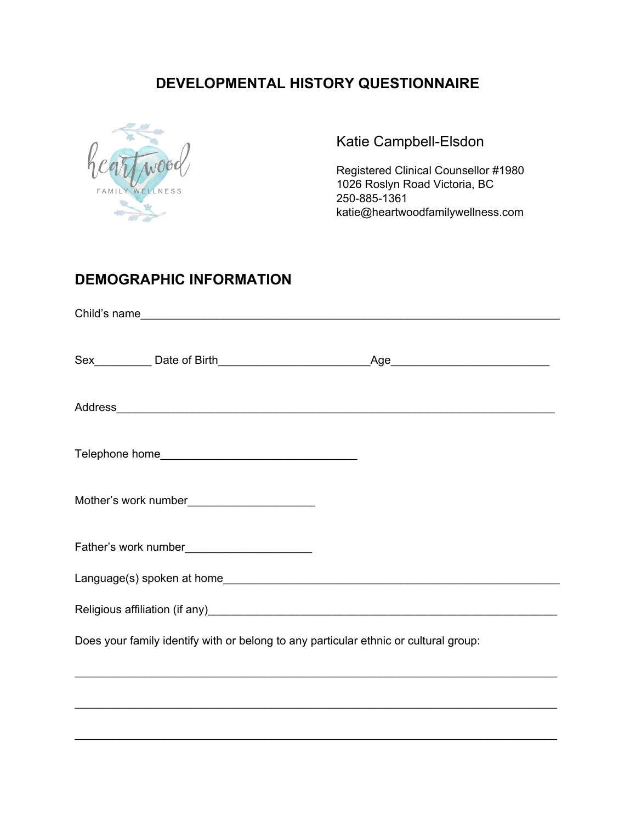## **DEVELOPMENTAL HISTORY QUESTIONNAIRE**



Katie Campbell-Elsdon

Registered Clinical Counsellor #1980 1026 Roslyn Road Victoria, BC 250-885-1361 katie@heartwoodfamilywellness.com

### **DEMOGRAPHIC INFORMATION**

|                                                                                      | Address and the contract of the contract of the contract of the contract of the contract of the contract of the contract of the contract of the contract of the contract of the contract of the contract of the contract of th |  |
|--------------------------------------------------------------------------------------|--------------------------------------------------------------------------------------------------------------------------------------------------------------------------------------------------------------------------------|--|
|                                                                                      |                                                                                                                                                                                                                                |  |
| Mother's work number_________________________                                        |                                                                                                                                                                                                                                |  |
|                                                                                      |                                                                                                                                                                                                                                |  |
|                                                                                      |                                                                                                                                                                                                                                |  |
|                                                                                      |                                                                                                                                                                                                                                |  |
| Does your family identify with or belong to any particular ethnic or cultural group: |                                                                                                                                                                                                                                |  |
|                                                                                      |                                                                                                                                                                                                                                |  |

\_\_\_\_\_\_\_\_\_\_\_\_\_\_\_\_\_\_\_\_\_\_\_\_\_\_\_\_\_\_\_\_\_\_\_\_\_\_\_\_\_\_\_\_\_\_\_\_\_\_\_\_\_\_\_\_\_\_\_\_\_\_\_\_\_\_\_\_\_\_\_\_\_\_\_\_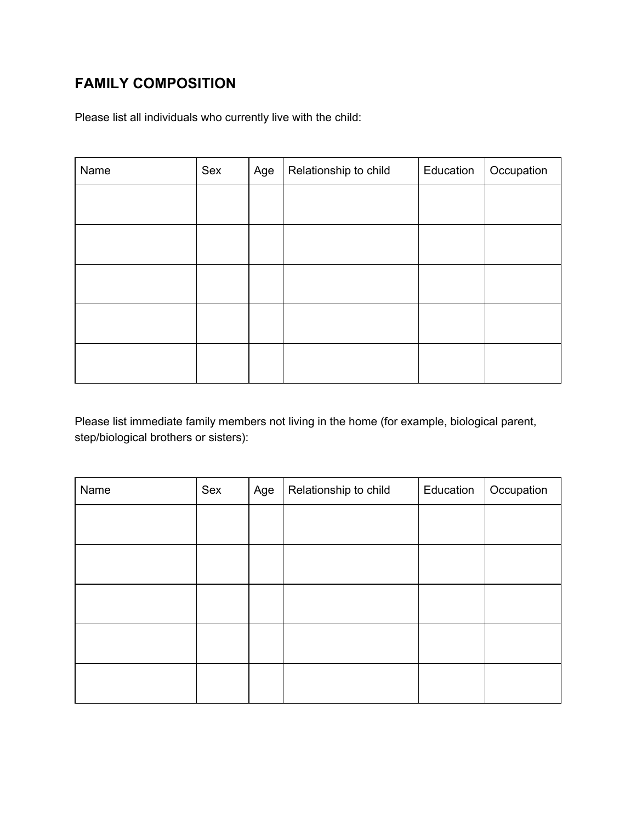# **FAMILY COMPOSITION**

Please list all individuals who currently live with the child:

| Name | Sex | Age | Relationship to child | Education | Occupation |
|------|-----|-----|-----------------------|-----------|------------|
|      |     |     |                       |           |            |
|      |     |     |                       |           |            |
|      |     |     |                       |           |            |
|      |     |     |                       |           |            |
|      |     |     |                       |           |            |
|      |     |     |                       |           |            |
|      |     |     |                       |           |            |
|      |     |     |                       |           |            |
|      |     |     |                       |           |            |

Please list immediate family members not living in the home (for example, biological parent, step/biological brothers or sisters):

| Name | Sex | Age | Relationship to child | Education | Occupation |
|------|-----|-----|-----------------------|-----------|------------|
|      |     |     |                       |           |            |
|      |     |     |                       |           |            |
|      |     |     |                       |           |            |
|      |     |     |                       |           |            |
|      |     |     |                       |           |            |
|      |     |     |                       |           |            |
|      |     |     |                       |           |            |
|      |     |     |                       |           |            |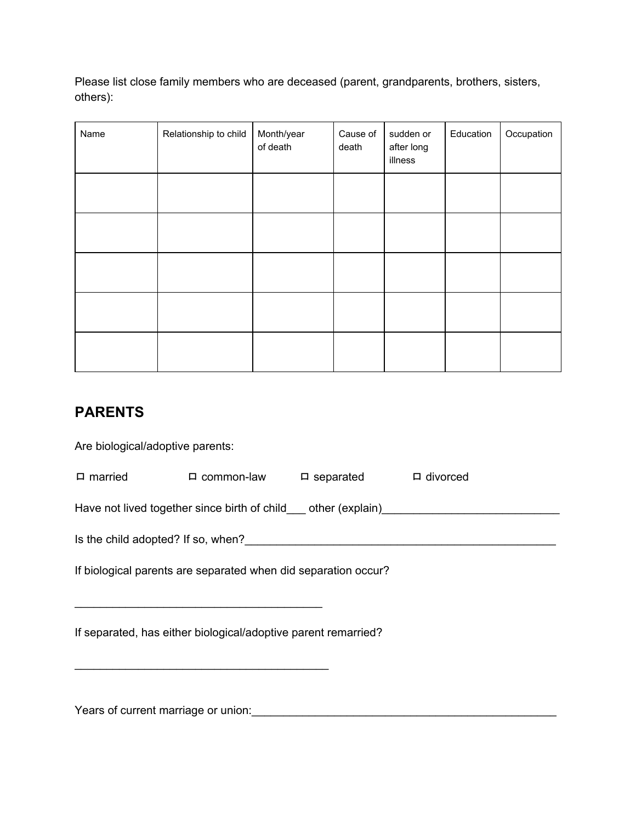Please list close family members who are deceased (parent, grandparents, brothers, sisters, others):

| Name | Relationship to child | Month/year<br>of death | Cause of<br>death | sudden or<br>after long<br>illness | Education | Occupation |
|------|-----------------------|------------------------|-------------------|------------------------------------|-----------|------------|
|      |                       |                        |                   |                                    |           |            |
|      |                       |                        |                   |                                    |           |            |
|      |                       |                        |                   |                                    |           |            |
|      |                       |                        |                   |                                    |           |            |
|      |                       |                        |                   |                                    |           |            |

## **PARENTS**

Are biological/adoptive parents:

| $\Box$ married                                                                    |                                                                                                                                                                                                                                | $\Box$ common-law $\Box$ separated $\Box$ divorced |  |  |  |  |  |  |
|-----------------------------------------------------------------------------------|--------------------------------------------------------------------------------------------------------------------------------------------------------------------------------------------------------------------------------|----------------------------------------------------|--|--|--|--|--|--|
| Have not lived together since birth of child___ other (explain)__________________ |                                                                                                                                                                                                                                |                                                    |  |  |  |  |  |  |
|                                                                                   | Is the child adopted? If so, when? If so a state of the state of the state of the state of the state of the state of the state of the state of the state of the state of the state of the state of the state of the state of t |                                                    |  |  |  |  |  |  |
|                                                                                   | If biological parents are separated when did separation occur?                                                                                                                                                                 |                                                    |  |  |  |  |  |  |
| If separated, has either biological/adoptive parent remarried?                    |                                                                                                                                                                                                                                |                                                    |  |  |  |  |  |  |
|                                                                                   |                                                                                                                                                                                                                                |                                                    |  |  |  |  |  |  |

Years of current marriage or union:\_\_\_\_\_\_\_\_\_\_\_\_\_\_\_\_\_\_\_\_\_\_\_\_\_\_\_\_\_\_\_\_\_\_\_\_\_\_\_\_\_\_\_\_\_\_\_\_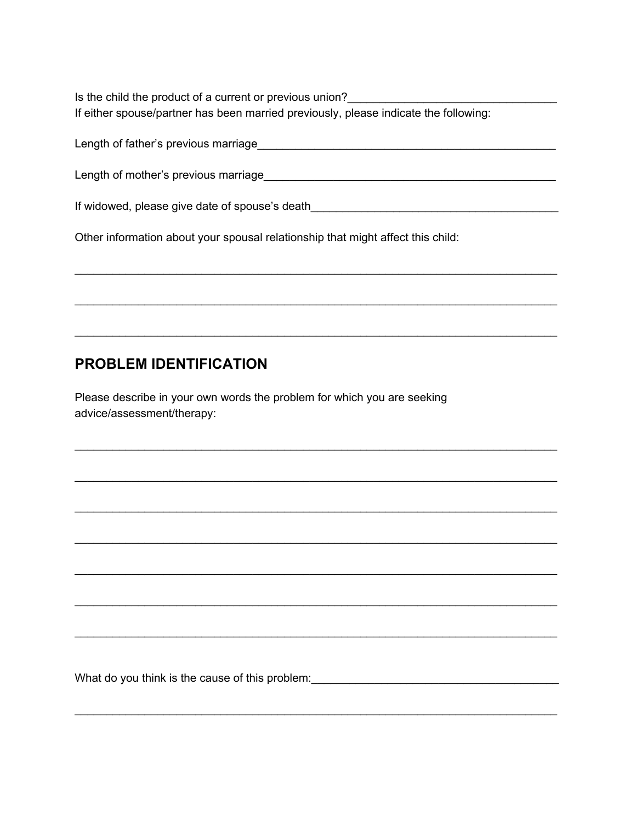Is the child the product of a current or previous union? If either spouse/partner has been married previously, please indicate the following:

Length of father's previous marriage example and the contract of the contract of the contract of the contract of the contract of the contract of the contract of the contract of the contract of the contract of the contract

If widowed, please give date of spouse's death

Other information about your spousal relationship that might affect this child:

### **PROBLEM IDENTIFICATION**

Please describe in your own words the problem for which you are seeking advice/assessment/therapy:

What do you think is the cause of this problem: \_\_\_\_\_\_\_\_\_\_\_\_\_\_\_\_\_\_\_\_\_\_\_\_\_\_\_\_\_\_\_\_\_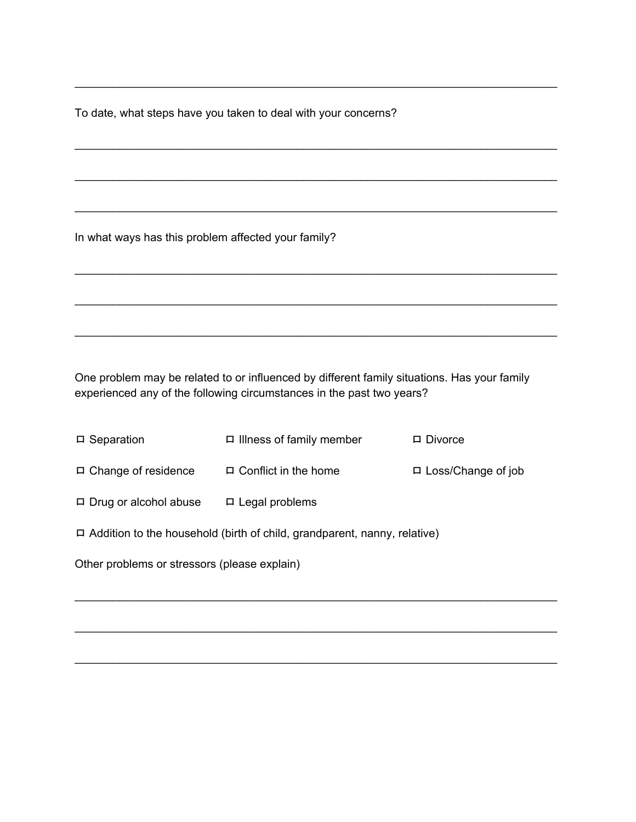To date, what steps have you taken to deal with your concerns?

In what ways has this problem affected your family?

One problem may be related to or influenced by different family situations. Has your family experienced any of the following circumstances in the past two years?

\_\_\_\_\_\_\_\_\_\_\_\_\_\_\_\_\_\_\_\_\_\_\_\_\_\_\_\_\_\_\_\_\_\_\_\_\_\_\_\_\_\_\_\_\_\_\_\_\_\_\_\_\_\_\_\_\_\_\_\_\_\_\_\_\_\_\_\_\_\_\_\_\_\_\_\_

\_\_\_\_\_\_\_\_\_\_\_\_\_\_\_\_\_\_\_\_\_\_\_\_\_\_\_\_\_\_\_\_\_\_\_\_\_\_\_\_\_\_\_\_\_\_\_\_\_\_\_\_\_\_\_\_\_\_\_\_\_\_\_\_\_\_\_\_\_\_\_\_\_\_\_\_

\_\_\_\_\_\_\_\_\_\_\_\_\_\_\_\_\_\_\_\_\_\_\_\_\_\_\_\_\_\_\_\_\_\_\_\_\_\_\_\_\_\_\_\_\_\_\_\_\_\_\_\_\_\_\_\_\_\_\_\_\_\_\_\_\_\_\_\_\_\_\_\_\_\_\_\_

\_\_\_\_\_\_\_\_\_\_\_\_\_\_\_\_\_\_\_\_\_\_\_\_\_\_\_\_\_\_\_\_\_\_\_\_\_\_\_\_\_\_\_\_\_\_\_\_\_\_\_\_\_\_\_\_\_\_\_\_\_\_\_\_\_\_\_\_\_\_\_\_\_\_\_\_

\_\_\_\_\_\_\_\_\_\_\_\_\_\_\_\_\_\_\_\_\_\_\_\_\_\_\_\_\_\_\_\_\_\_\_\_\_\_\_\_\_\_\_\_\_\_\_\_\_\_\_\_\_\_\_\_\_\_\_\_\_\_\_\_\_\_\_\_\_\_\_\_\_\_\_\_

\_\_\_\_\_\_\_\_\_\_\_\_\_\_\_\_\_\_\_\_\_\_\_\_\_\_\_\_\_\_\_\_\_\_\_\_\_\_\_\_\_\_\_\_\_\_\_\_\_\_\_\_\_\_\_\_\_\_\_\_\_\_\_\_\_\_\_\_\_\_\_\_\_\_\_\_

\_\_\_\_\_\_\_\_\_\_\_\_\_\_\_\_\_\_\_\_\_\_\_\_\_\_\_\_\_\_\_\_\_\_\_\_\_\_\_\_\_\_\_\_\_\_\_\_\_\_\_\_\_\_\_\_\_\_\_\_\_\_\_\_\_\_\_\_\_\_\_\_\_\_\_\_

| $\Box$ Separation                                                               | $\Box$ Illness of family member | $\Box$ Divorce            |  |  |  |  |
|---------------------------------------------------------------------------------|---------------------------------|---------------------------|--|--|--|--|
| $\Box$ Change of residence                                                      | $\Box$ Conflict in the home     | $\Box$ Loss/Change of job |  |  |  |  |
| $\Box$ Drug or alcohol abuse                                                    | $\Box$ Legal problems           |                           |  |  |  |  |
| $\Box$ Addition to the household (birth of child, grandparent, nanny, relative) |                                 |                           |  |  |  |  |
| Other problems or stressors (please explain)                                    |                                 |                           |  |  |  |  |

\_\_\_\_\_\_\_\_\_\_\_\_\_\_\_\_\_\_\_\_\_\_\_\_\_\_\_\_\_\_\_\_\_\_\_\_\_\_\_\_\_\_\_\_\_\_\_\_\_\_\_\_\_\_\_\_\_\_\_\_\_\_\_\_\_\_\_\_\_\_\_\_\_\_\_\_

\_\_\_\_\_\_\_\_\_\_\_\_\_\_\_\_\_\_\_\_\_\_\_\_\_\_\_\_\_\_\_\_\_\_\_\_\_\_\_\_\_\_\_\_\_\_\_\_\_\_\_\_\_\_\_\_\_\_\_\_\_\_\_\_\_\_\_\_\_\_\_\_\_\_\_\_

\_\_\_\_\_\_\_\_\_\_\_\_\_\_\_\_\_\_\_\_\_\_\_\_\_\_\_\_\_\_\_\_\_\_\_\_\_\_\_\_\_\_\_\_\_\_\_\_\_\_\_\_\_\_\_\_\_\_\_\_\_\_\_\_\_\_\_\_\_\_\_\_\_\_\_\_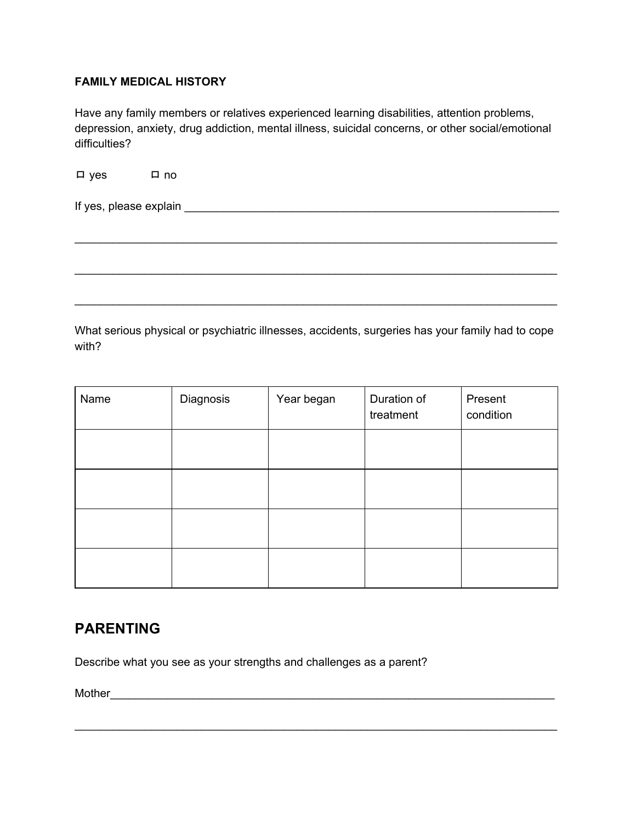#### **FAMILY MEDICAL HISTORY**

Have any family members or relatives experienced learning disabilities, attention problems, depression, anxiety, drug addiction, mental illness, suicidal concerns, or other social/emotional difficulties?

ロ yes ロ no

If yes, please explain \_\_\_\_\_\_\_\_\_\_\_\_\_\_\_\_\_\_\_\_\_\_\_\_\_\_\_\_\_\_\_\_\_\_\_\_\_\_\_\_\_\_\_\_\_\_\_\_\_\_\_\_\_\_\_\_\_\_\_

What serious physical or psychiatric illnesses, accidents, surgeries has your family had to cope with?

\_\_\_\_\_\_\_\_\_\_\_\_\_\_\_\_\_\_\_\_\_\_\_\_\_\_\_\_\_\_\_\_\_\_\_\_\_\_\_\_\_\_\_\_\_\_\_\_\_\_\_\_\_\_\_\_\_\_\_\_\_\_\_\_\_\_\_\_\_\_\_\_\_\_\_\_

\_\_\_\_\_\_\_\_\_\_\_\_\_\_\_\_\_\_\_\_\_\_\_\_\_\_\_\_\_\_\_\_\_\_\_\_\_\_\_\_\_\_\_\_\_\_\_\_\_\_\_\_\_\_\_\_\_\_\_\_\_\_\_\_\_\_\_\_\_\_\_\_\_\_\_\_

\_\_\_\_\_\_\_\_\_\_\_\_\_\_\_\_\_\_\_\_\_\_\_\_\_\_\_\_\_\_\_\_\_\_\_\_\_\_\_\_\_\_\_\_\_\_\_\_\_\_\_\_\_\_\_\_\_\_\_\_\_\_\_\_\_\_\_\_\_\_\_\_\_\_\_\_

| Name | Diagnosis | Year began | Duration of<br>treatment | Present<br>condition |
|------|-----------|------------|--------------------------|----------------------|
|      |           |            |                          |                      |
|      |           |            |                          |                      |
|      |           |            |                          |                      |
|      |           |            |                          |                      |

\_\_\_\_\_\_\_\_\_\_\_\_\_\_\_\_\_\_\_\_\_\_\_\_\_\_\_\_\_\_\_\_\_\_\_\_\_\_\_\_\_\_\_\_\_\_\_\_\_\_\_\_\_\_\_\_\_\_\_\_\_\_\_\_\_\_\_\_\_\_\_\_\_\_\_\_

#### **PARENTING**

Describe what you see as your strengths and challenges as a parent?

Mother\_\_\_\_\_\_\_\_\_\_\_\_\_\_\_\_\_\_\_\_\_\_\_\_\_\_\_\_\_\_\_\_\_\_\_\_\_\_\_\_\_\_\_\_\_\_\_\_\_\_\_\_\_\_\_\_\_\_\_\_\_\_\_\_\_\_\_\_\_\_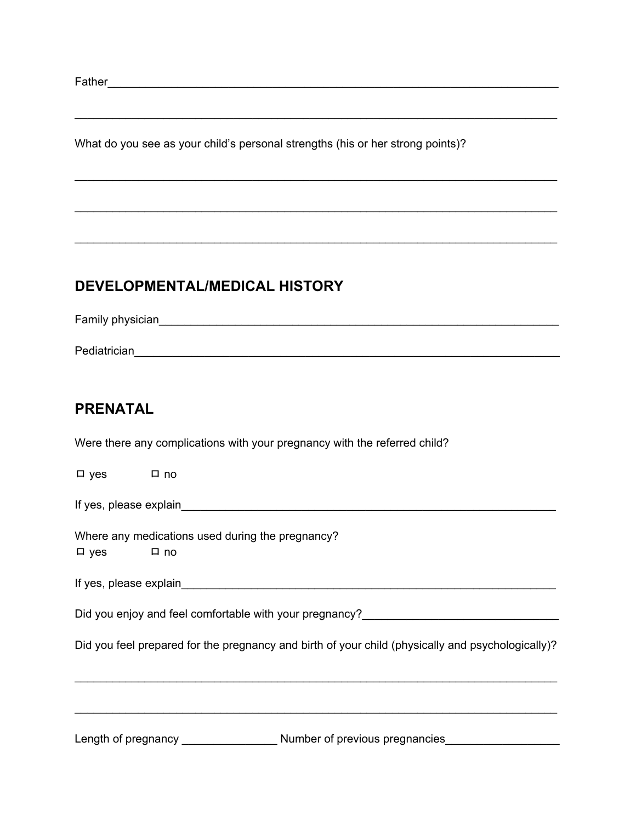Father **Example 20**  $\sim$  2008  $\sim$  2008  $\sim$  2008  $\sim$  2008  $\sim$  2008  $\sim$  2008  $\sim$  2008  $\sim$  2008  $\sim$  2008  $\sim$  2008  $\sim$  2008  $\sim$  2008  $\sim$  2008  $\sim$  2008  $\sim$  2008  $\sim$  2008  $\sim$  2008  $\sim$  2008  $\sim$  2008  $\sim$  2008  $\$ 

What do you see as your child's personal strengths (his or her strong points)?

#### **DEVELOPMENTAL/MEDICAL HISTORY**

Family physician **Family physician** Pediatrician\_\_\_\_\_\_\_\_\_\_\_\_\_\_\_\_\_\_\_\_\_\_\_\_\_\_\_\_\_\_\_\_\_\_\_\_\_\_\_\_\_\_\_\_\_\_\_\_\_\_\_\_\_\_\_\_\_\_\_\_\_\_\_\_\_\_\_

\_\_\_\_\_\_\_\_\_\_\_\_\_\_\_\_\_\_\_\_\_\_\_\_\_\_\_\_\_\_\_\_\_\_\_\_\_\_\_\_\_\_\_\_\_\_\_\_\_\_\_\_\_\_\_\_\_\_\_\_\_\_\_\_\_\_\_\_\_\_\_\_\_\_\_\_

\_\_\_\_\_\_\_\_\_\_\_\_\_\_\_\_\_\_\_\_\_\_\_\_\_\_\_\_\_\_\_\_\_\_\_\_\_\_\_\_\_\_\_\_\_\_\_\_\_\_\_\_\_\_\_\_\_\_\_\_\_\_\_\_\_\_\_\_\_\_\_\_\_\_\_\_

\_\_\_\_\_\_\_\_\_\_\_\_\_\_\_\_\_\_\_\_\_\_\_\_\_\_\_\_\_\_\_\_\_\_\_\_\_\_\_\_\_\_\_\_\_\_\_\_\_\_\_\_\_\_\_\_\_\_\_\_\_\_\_\_\_\_\_\_\_\_\_\_\_\_\_\_

\_\_\_\_\_\_\_\_\_\_\_\_\_\_\_\_\_\_\_\_\_\_\_\_\_\_\_\_\_\_\_\_\_\_\_\_\_\_\_\_\_\_\_\_\_\_\_\_\_\_\_\_\_\_\_\_\_\_\_\_\_\_\_\_\_\_\_\_\_\_\_\_\_\_\_\_

#### **PRENATAL**

Were there any complications with your pregnancy with the referred child?

ロ yes ロ no

If yes, please explain

Where any medications used during the pregnancy?

ロ yes ロ no

If yes, please explain  $\Box$ 

Did you enjoy and feel comfortable with your pregnancy?<br>

Did you feel prepared for the pregnancy and birth of your child (physically and psychologically)?

\_\_\_\_\_\_\_\_\_\_\_\_\_\_\_\_\_\_\_\_\_\_\_\_\_\_\_\_\_\_\_\_\_\_\_\_\_\_\_\_\_\_\_\_\_\_\_\_\_\_\_\_\_\_\_\_\_\_\_\_\_\_\_\_\_\_\_\_\_\_\_\_\_\_\_\_

\_\_\_\_\_\_\_\_\_\_\_\_\_\_\_\_\_\_\_\_\_\_\_\_\_\_\_\_\_\_\_\_\_\_\_\_\_\_\_\_\_\_\_\_\_\_\_\_\_\_\_\_\_\_\_\_\_\_\_\_\_\_\_\_\_\_\_\_\_\_\_\_\_\_\_\_

Length of pregnancy \_\_\_\_\_\_\_\_\_\_\_\_\_\_\_\_\_\_\_\_\_\_ Number of previous pregnancies\_\_\_\_\_\_\_\_\_\_\_\_\_\_\_\_\_\_\_\_\_\_\_\_\_\_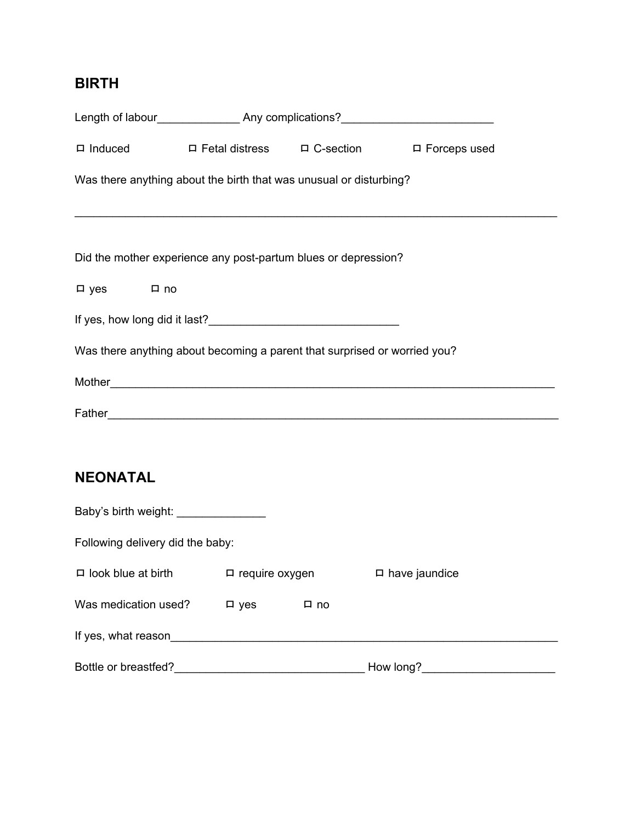# **BIRTH**

|                      | Length of labour________________________Any complications?______________________ |  |
|----------------------|----------------------------------------------------------------------------------|--|
|                      | □ Induced □ Fetal distress □ C-section □ Forceps used                            |  |
|                      | Was there anything about the birth that was unusual or disturbing?               |  |
|                      |                                                                                  |  |
|                      | Did the mother experience any post-partum blues or depression?                   |  |
| $\Box$ yes $\Box$ no |                                                                                  |  |
|                      |                                                                                  |  |
|                      | Was there anything about becoming a parent that surprised or worried you?        |  |
|                      |                                                                                  |  |
|                      |                                                                                  |  |
|                      |                                                                                  |  |
| <b>NEONATAL</b>      |                                                                                  |  |

| Baby's birth weight: ______      |                       |      |                      |  |  |  |  |
|----------------------------------|-----------------------|------|----------------------|--|--|--|--|
| Following delivery did the baby: |                       |      |                      |  |  |  |  |
| $\Box$ look blue at birth        | $\Box$ require oxygen |      | $\Box$ have jaundice |  |  |  |  |
| Was medication used?             | $\square$ yes         | □ no |                      |  |  |  |  |
| If yes, what reason              |                       |      |                      |  |  |  |  |
| Bottle or breastfed?             |                       |      | How long?            |  |  |  |  |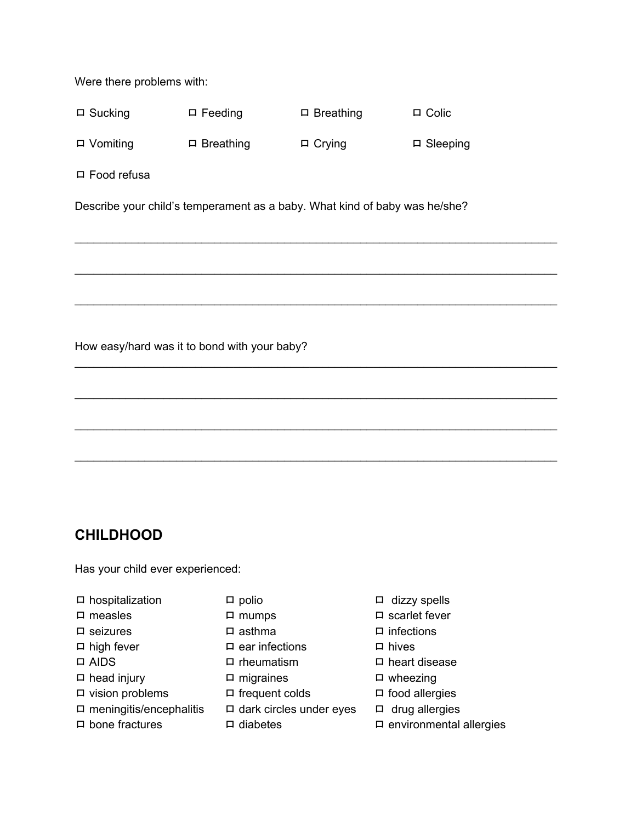Were there problems with:

| $\Box$ Sucking  | $\Box$ Feeding   | $\Box$ Breathing | $\Box$ Colic    |
|-----------------|------------------|------------------|-----------------|
| $\Box$ Vomiting | $\Box$ Breathing | $\Box$ Crying    | $\Box$ Sleeping |

ロ Food refusa

Describe your child's temperament as a baby. What kind of baby was he/she?

\_\_\_\_\_\_\_\_\_\_\_\_\_\_\_\_\_\_\_\_\_\_\_\_\_\_\_\_\_\_\_\_\_\_\_\_\_\_\_\_\_\_\_\_\_\_\_\_\_\_\_\_\_\_\_\_\_\_\_\_\_\_\_\_\_\_\_\_\_\_\_\_\_\_\_\_

\_\_\_\_\_\_\_\_\_\_\_\_\_\_\_\_\_\_\_\_\_\_\_\_\_\_\_\_\_\_\_\_\_\_\_\_\_\_\_\_\_\_\_\_\_\_\_\_\_\_\_\_\_\_\_\_\_\_\_\_\_\_\_\_\_\_\_\_\_\_\_\_\_\_\_\_

\_\_\_\_\_\_\_\_\_\_\_\_\_\_\_\_\_\_\_\_\_\_\_\_\_\_\_\_\_\_\_\_\_\_\_\_\_\_\_\_\_\_\_\_\_\_\_\_\_\_\_\_\_\_\_\_\_\_\_\_\_\_\_\_\_\_\_\_\_\_\_\_\_\_\_\_

\_\_\_\_\_\_\_\_\_\_\_\_\_\_\_\_\_\_\_\_\_\_\_\_\_\_\_\_\_\_\_\_\_\_\_\_\_\_\_\_\_\_\_\_\_\_\_\_\_\_\_\_\_\_\_\_\_\_\_\_\_\_\_\_\_\_\_\_\_\_\_\_\_\_\_\_

\_\_\_\_\_\_\_\_\_\_\_\_\_\_\_\_\_\_\_\_\_\_\_\_\_\_\_\_\_\_\_\_\_\_\_\_\_\_\_\_\_\_\_\_\_\_\_\_\_\_\_\_\_\_\_\_\_\_\_\_\_\_\_\_\_\_\_\_\_\_\_\_\_\_\_\_

\_\_\_\_\_\_\_\_\_\_\_\_\_\_\_\_\_\_\_\_\_\_\_\_\_\_\_\_\_\_\_\_\_\_\_\_\_\_\_\_\_\_\_\_\_\_\_\_\_\_\_\_\_\_\_\_\_\_\_\_\_\_\_\_\_\_\_\_\_\_\_\_\_\_\_\_

\_\_\_\_\_\_\_\_\_\_\_\_\_\_\_\_\_\_\_\_\_\_\_\_\_\_\_\_\_\_\_\_\_\_\_\_\_\_\_\_\_\_\_\_\_\_\_\_\_\_\_\_\_\_\_\_\_\_\_\_\_\_\_\_\_\_\_\_\_\_\_\_\_\_\_\_

How easy/hard was it to bond with your baby?

## **CHILDHOOD**

Has your child ever experienced:

- ロ hospitalization ロ polio ロ dizzy spells
- 
- 
- 
- 
- ロ head injury ロ migraines ロ wheezing
- ロ vision problems ロ frequent colds ロ food allergies
- 
- 
- 
- 
- 
- ロ high fever ロ ear infections ロ hives
	-
	-
	-
- ロ meningitis/encephalitis ロ dark circles under eyes ロ drug allergies
	-
- 
- ロ measles ロ mumps ロ D mumps ロ Scarlet fever
- ロ seizures ロ asthma ロ infections
	-
- ロ AIDS ロ rheumatism ロ heart disease
	-
	-
	-
- ロ bone fractures ロ diabetes ロ environmental allergies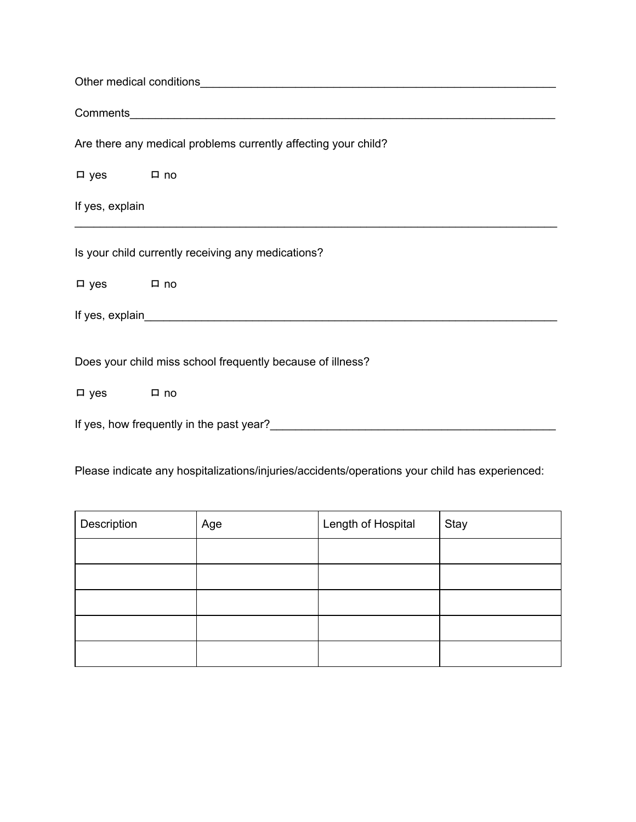| Are there any medical problems currently affecting your child? |  |  |  |  |
|----------------------------------------------------------------|--|--|--|--|
| □ yes □ no                                                     |  |  |  |  |
| If yes, explain                                                |  |  |  |  |
| Is your child currently receiving any medications?             |  |  |  |  |
| $\Box$ yes $\Box$ no                                           |  |  |  |  |
|                                                                |  |  |  |  |
| Does your child miss school frequently because of illness?     |  |  |  |  |
| □ yes □ no                                                     |  |  |  |  |
|                                                                |  |  |  |  |

Please indicate any hospitalizations/injuries/accidents/operations your child has experienced:

| Description | Age | Length of Hospital | Stay |
|-------------|-----|--------------------|------|
|             |     |                    |      |
|             |     |                    |      |
|             |     |                    |      |
|             |     |                    |      |
|             |     |                    |      |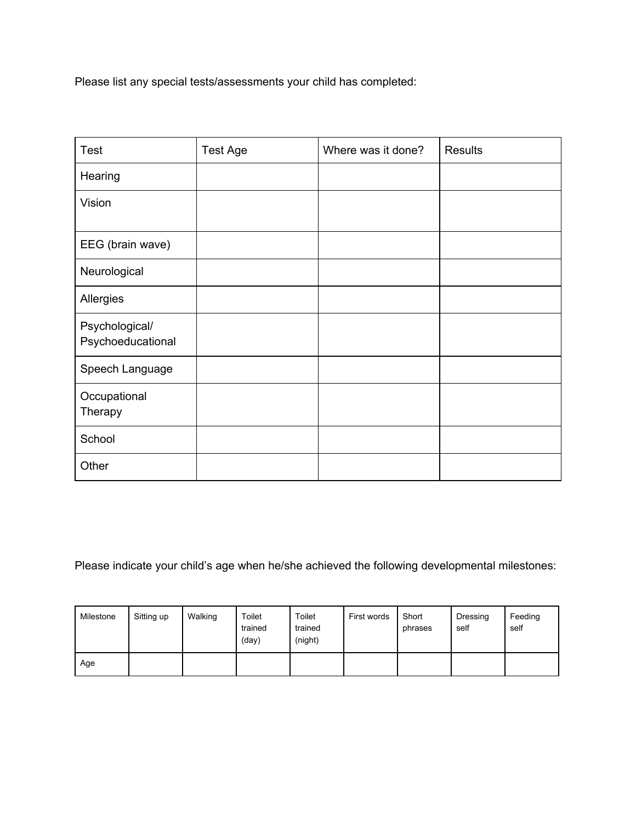Please list any special tests/assessments your child has completed:

| <b>Test</b>                         | <b>Test Age</b> | Where was it done? | <b>Results</b> |
|-------------------------------------|-----------------|--------------------|----------------|
| Hearing                             |                 |                    |                |
| Vision                              |                 |                    |                |
| EEG (brain wave)                    |                 |                    |                |
| Neurological                        |                 |                    |                |
| Allergies                           |                 |                    |                |
| Psychological/<br>Psychoeducational |                 |                    |                |
| Speech Language                     |                 |                    |                |
| Occupational<br>Therapy             |                 |                    |                |
| School                              |                 |                    |                |
| Other                               |                 |                    |                |

Please indicate your child's age when he/she achieved the following developmental milestones:

| Milestone | Sitting up | Walking | Toilet<br>trained<br>(day) | Toilet<br>trained<br>(night) | First words | Short<br>phrases | Dressing<br>self | Feeding<br>self |
|-----------|------------|---------|----------------------------|------------------------------|-------------|------------------|------------------|-----------------|
| Age       |            |         |                            |                              |             |                  |                  |                 |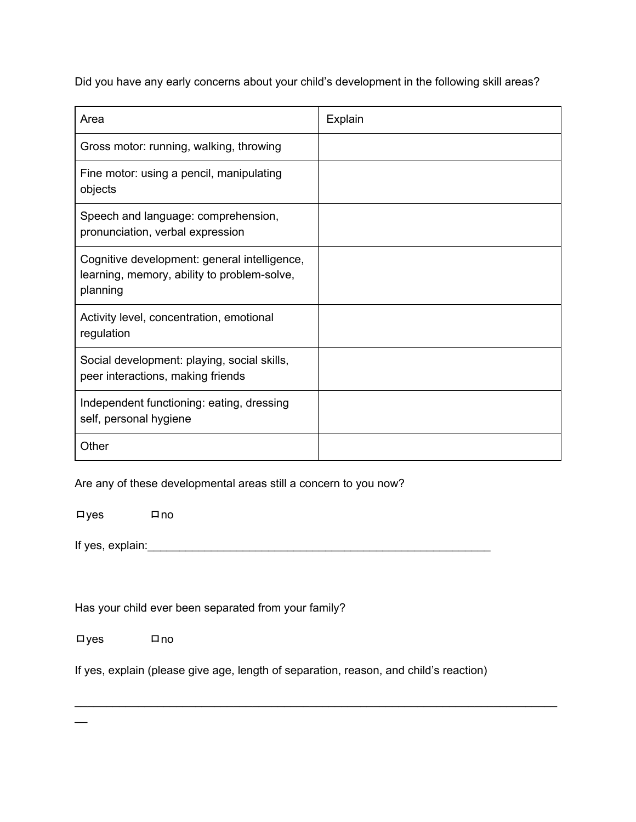Did you have any early concerns about your child's development in the following skill areas?

| Area                                                                                                    | Explain |
|---------------------------------------------------------------------------------------------------------|---------|
| Gross motor: running, walking, throwing                                                                 |         |
| Fine motor: using a pencil, manipulating<br>objects                                                     |         |
| Speech and language: comprehension,<br>pronunciation, verbal expression                                 |         |
| Cognitive development: general intelligence,<br>learning, memory, ability to problem-solve,<br>planning |         |
| Activity level, concentration, emotional<br>regulation                                                  |         |
| Social development: playing, social skills,<br>peer interactions, making friends                        |         |
| Independent functioning: eating, dressing<br>self, personal hygiene                                     |         |
| Other                                                                                                   |         |

Are any of these developmental areas still a concern to you now?

ロyes ロno

If yes, explain:\_\_\_\_\_\_\_\_\_\_\_\_\_\_\_\_\_\_\_\_\_\_\_\_\_\_\_\_\_\_\_\_\_\_\_\_\_\_\_\_\_\_\_\_\_\_\_\_\_\_\_\_\_\_

Has your child ever been separated from your family?

ロyes ロno

 $\overline{a}$ 

If yes, explain (please give age, length of separation, reason, and child's reaction)

\_\_\_\_\_\_\_\_\_\_\_\_\_\_\_\_\_\_\_\_\_\_\_\_\_\_\_\_\_\_\_\_\_\_\_\_\_\_\_\_\_\_\_\_\_\_\_\_\_\_\_\_\_\_\_\_\_\_\_\_\_\_\_\_\_\_\_\_\_\_\_\_\_\_\_\_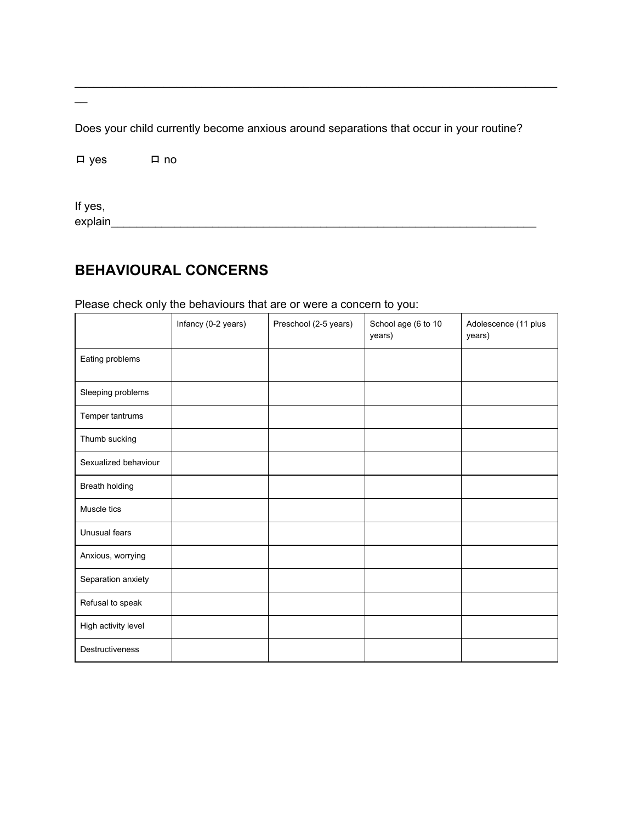Does your child currently become anxious around separations that occur in your routine?

 $\square$  yes  $\square$  no

If yes, 

## **BEHAVIOURAL CONCERNS**

Please check only the behaviours that are or were a concern to you:

|                      | Infancy (0-2 years) | Preschool (2-5 years) | School age (6 to 10<br>years) | Adolescence (11 plus<br>years) |
|----------------------|---------------------|-----------------------|-------------------------------|--------------------------------|
| Eating problems      |                     |                       |                               |                                |
| Sleeping problems    |                     |                       |                               |                                |
| Temper tantrums      |                     |                       |                               |                                |
| Thumb sucking        |                     |                       |                               |                                |
| Sexualized behaviour |                     |                       |                               |                                |
| Breath holding       |                     |                       |                               |                                |
| Muscle tics          |                     |                       |                               |                                |
| Unusual fears        |                     |                       |                               |                                |
| Anxious, worrying    |                     |                       |                               |                                |
| Separation anxiety   |                     |                       |                               |                                |
| Refusal to speak     |                     |                       |                               |                                |
| High activity level  |                     |                       |                               |                                |
| Destructiveness      |                     |                       |                               |                                |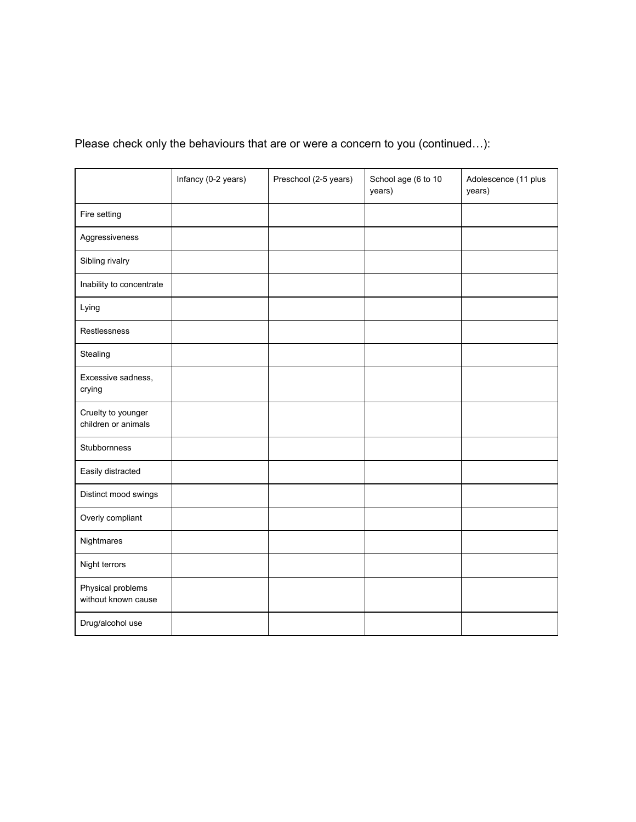# Please check only the behaviours that are or were a concern to you (continued…):

|                                           | Infancy (0-2 years) | Preschool (2-5 years) | School age (6 to 10<br>years) | Adolescence (11 plus<br>years) |
|-------------------------------------------|---------------------|-----------------------|-------------------------------|--------------------------------|
| Fire setting                              |                     |                       |                               |                                |
| Aggressiveness                            |                     |                       |                               |                                |
| Sibling rivalry                           |                     |                       |                               |                                |
| Inability to concentrate                  |                     |                       |                               |                                |
| Lying                                     |                     |                       |                               |                                |
| Restlessness                              |                     |                       |                               |                                |
| Stealing                                  |                     |                       |                               |                                |
| Excessive sadness,<br>crying              |                     |                       |                               |                                |
| Cruelty to younger<br>children or animals |                     |                       |                               |                                |
| Stubbornness                              |                     |                       |                               |                                |
| Easily distracted                         |                     |                       |                               |                                |
| Distinct mood swings                      |                     |                       |                               |                                |
| Overly compliant                          |                     |                       |                               |                                |
| Nightmares                                |                     |                       |                               |                                |
| Night terrors                             |                     |                       |                               |                                |
| Physical problems<br>without known cause  |                     |                       |                               |                                |
| Drug/alcohol use                          |                     |                       |                               |                                |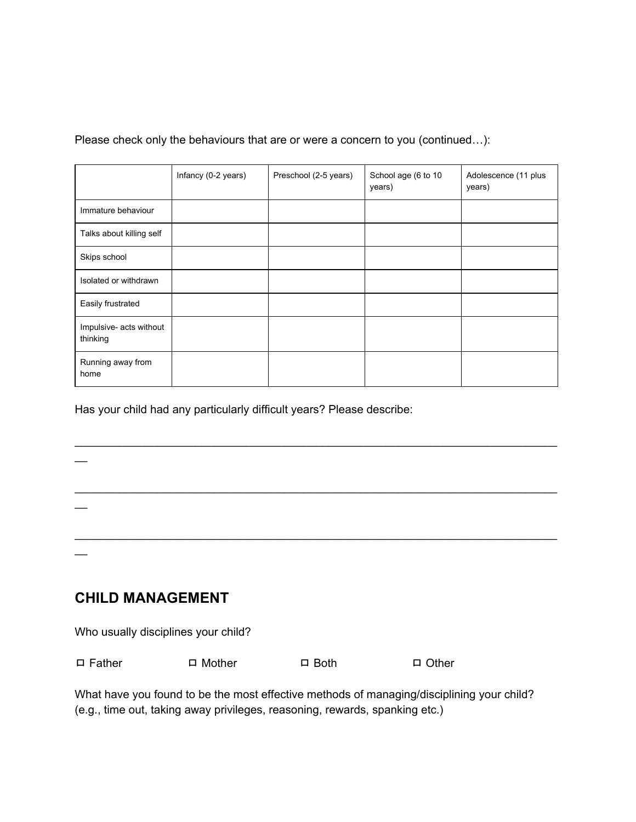#### Please check only the behaviours that are or were a concern to you (continued…):

|                                     | Infancy (0-2 years) | Preschool (2-5 years) | School age (6 to 10<br>years) | Adolescence (11 plus<br>years) |
|-------------------------------------|---------------------|-----------------------|-------------------------------|--------------------------------|
| Immature behaviour                  |                     |                       |                               |                                |
| Talks about killing self            |                     |                       |                               |                                |
| Skips school                        |                     |                       |                               |                                |
| Isolated or withdrawn               |                     |                       |                               |                                |
| Easily frustrated                   |                     |                       |                               |                                |
| Impulsive- acts without<br>thinking |                     |                       |                               |                                |
| Running away from<br>home           |                     |                       |                               |                                |

\_\_\_\_\_\_\_\_\_\_\_\_\_\_\_\_\_\_\_\_\_\_\_\_\_\_\_\_\_\_\_\_\_\_\_\_\_\_\_\_\_\_\_\_\_\_\_\_\_\_\_\_\_\_\_\_\_\_\_\_\_\_\_\_\_\_\_\_\_\_\_\_\_\_\_\_

\_\_\_\_\_\_\_\_\_\_\_\_\_\_\_\_\_\_\_\_\_\_\_\_\_\_\_\_\_\_\_\_\_\_\_\_\_\_\_\_\_\_\_\_\_\_\_\_\_\_\_\_\_\_\_\_\_\_\_\_\_\_\_\_\_\_\_\_\_\_\_\_\_\_\_\_

\_\_\_\_\_\_\_\_\_\_\_\_\_\_\_\_\_\_\_\_\_\_\_\_\_\_\_\_\_\_\_\_\_\_\_\_\_\_\_\_\_\_\_\_\_\_\_\_\_\_\_\_\_\_\_\_\_\_\_\_\_\_\_\_\_\_\_\_\_\_\_\_\_\_\_\_

Has your child had any particularly difficult years? Please describe:

### **CHILD MANAGEMENT**

 $\overline{\phantom{a}}$ 

 $\overline{\phantom{a}}$ 

 $\overline{\phantom{a}}$ 

Who usually disciplines your child?

| $\Box$ Father | $\Box$ Mother | $\Box$ Both | $\Box$ Other |
|---------------|---------------|-------------|--------------|
|               |               |             |              |

What have you found to be the most effective methods of managing/disciplining your child? (e.g., time out, taking away privileges, reasoning, rewards, spanking etc.)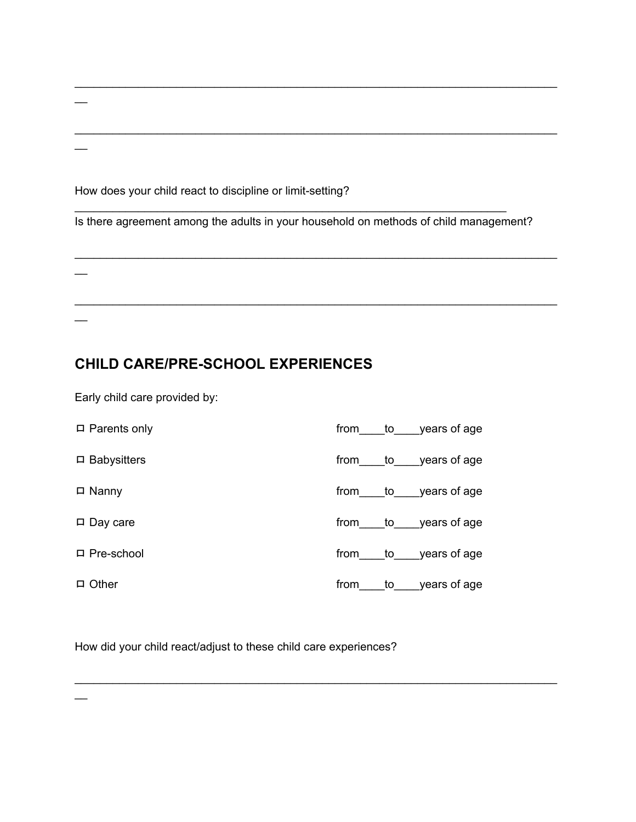How does your child react to discipline or limit-setting?

Is there agreement among the adults in your household on methods of child management?

\_\_\_\_\_\_\_\_\_\_\_\_\_\_\_\_\_\_\_\_\_\_\_\_\_\_\_\_\_\_\_\_\_\_\_\_\_\_\_\_\_\_\_\_\_\_\_\_\_\_\_\_\_\_\_\_\_\_\_\_\_\_\_\_\_\_\_\_\_\_\_\_\_\_\_\_

\_\_\_\_\_\_\_\_\_\_\_\_\_\_\_\_\_\_\_\_\_\_\_\_\_\_\_\_\_\_\_\_\_\_\_\_\_\_\_\_\_\_\_\_\_\_\_\_\_\_\_\_\_\_\_\_\_\_\_\_\_\_\_\_\_\_\_\_\_\_\_\_\_\_\_\_

\_\_\_\_\_\_\_\_\_\_\_\_\_\_\_\_\_\_\_\_\_\_\_\_\_\_\_\_\_\_\_\_\_\_\_\_\_\_\_\_\_\_\_\_\_\_\_\_\_\_\_\_\_\_\_\_\_\_\_\_\_\_\_\_\_\_\_\_

\_\_\_\_\_\_\_\_\_\_\_\_\_\_\_\_\_\_\_\_\_\_\_\_\_\_\_\_\_\_\_\_\_\_\_\_\_\_\_\_\_\_\_\_\_\_\_\_\_\_\_\_\_\_\_\_\_\_\_\_\_\_\_\_\_\_\_\_\_\_\_\_\_\_\_\_

\_\_\_\_\_\_\_\_\_\_\_\_\_\_\_\_\_\_\_\_\_\_\_\_\_\_\_\_\_\_\_\_\_\_\_\_\_\_\_\_\_\_\_\_\_\_\_\_\_\_\_\_\_\_\_\_\_\_\_\_\_\_\_\_\_\_\_\_\_\_\_\_\_\_\_\_

## **CHILD CARE/PRE-SCHOOL EXPERIENCES**

Early child care provided by:

 $\overline{\phantom{a}}$ 

 $\overline{\phantom{a}}$ 

 $\overline{\phantom{a}}$ 

 $\overline{\phantom{a}}$ 

 $\overline{\phantom{0}}$ 

| $\Box$ Parents only |      |       | from to years of age |
|---------------------|------|-------|----------------------|
| $\Box$ Babysitters  |      |       | from to years of age |
| $\Box$ Nanny        | from |       | to years of age      |
| $\Box$ Day care     |      |       | from to years of age |
| $\Box$ Pre-school   |      |       | from to years of age |
| $\Box$ Other        | from | to to | years of age         |

\_\_\_\_\_\_\_\_\_\_\_\_\_\_\_\_\_\_\_\_\_\_\_\_\_\_\_\_\_\_\_\_\_\_\_\_\_\_\_\_\_\_\_\_\_\_\_\_\_\_\_\_\_\_\_\_\_\_\_\_\_\_\_\_\_\_\_\_\_\_\_\_\_\_\_\_

How did your child react/adjust to these child care experiences?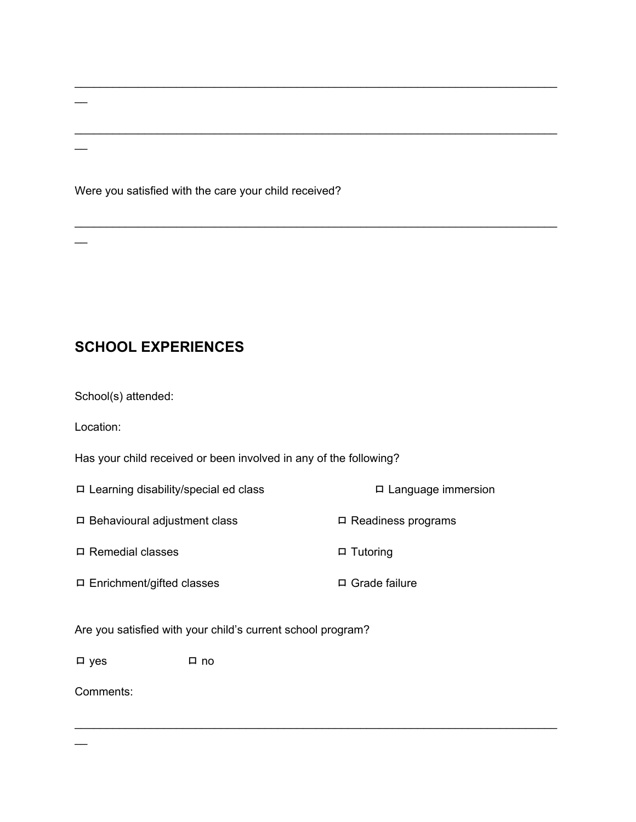Were you satisfied with the care your child received?

## **SCHOOL EXPERIENCES**

School(s) attended:

Location:

 $\overline{\phantom{a}}$ 

 $\overline{\phantom{a}}$ 

 $\overline{\phantom{a}}$ 

Has your child received or been involved in any of the following?

ロ Learning disability/special ed class ロ Language immersion ロ Behavioural adjustment class ロ Readiness programs

\_\_\_\_\_\_\_\_\_\_\_\_\_\_\_\_\_\_\_\_\_\_\_\_\_\_\_\_\_\_\_\_\_\_\_\_\_\_\_\_\_\_\_\_\_\_\_\_\_\_\_\_\_\_\_\_\_\_\_\_\_\_\_\_\_\_\_\_\_\_\_\_\_\_\_\_

\_\_\_\_\_\_\_\_\_\_\_\_\_\_\_\_\_\_\_\_\_\_\_\_\_\_\_\_\_\_\_\_\_\_\_\_\_\_\_\_\_\_\_\_\_\_\_\_\_\_\_\_\_\_\_\_\_\_\_\_\_\_\_\_\_\_\_\_\_\_\_\_\_\_\_\_

\_\_\_\_\_\_\_\_\_\_\_\_\_\_\_\_\_\_\_\_\_\_\_\_\_\_\_\_\_\_\_\_\_\_\_\_\_\_\_\_\_\_\_\_\_\_\_\_\_\_\_\_\_\_\_\_\_\_\_\_\_\_\_\_\_\_\_\_\_\_\_\_\_\_\_\_

\_\_\_\_\_\_\_\_\_\_\_\_\_\_\_\_\_\_\_\_\_\_\_\_\_\_\_\_\_\_\_\_\_\_\_\_\_\_\_\_\_\_\_\_\_\_\_\_\_\_\_\_\_\_\_\_\_\_\_\_\_\_\_\_\_\_\_\_\_\_\_\_\_\_\_\_

ロ Remedial classes ロ ロ Tutoring

ロ Enrichment/gifted classes ロ Grade failure

Are you satisfied with your child's current school program?

ロ yes ロ no

Comments:

 $\overline{a}$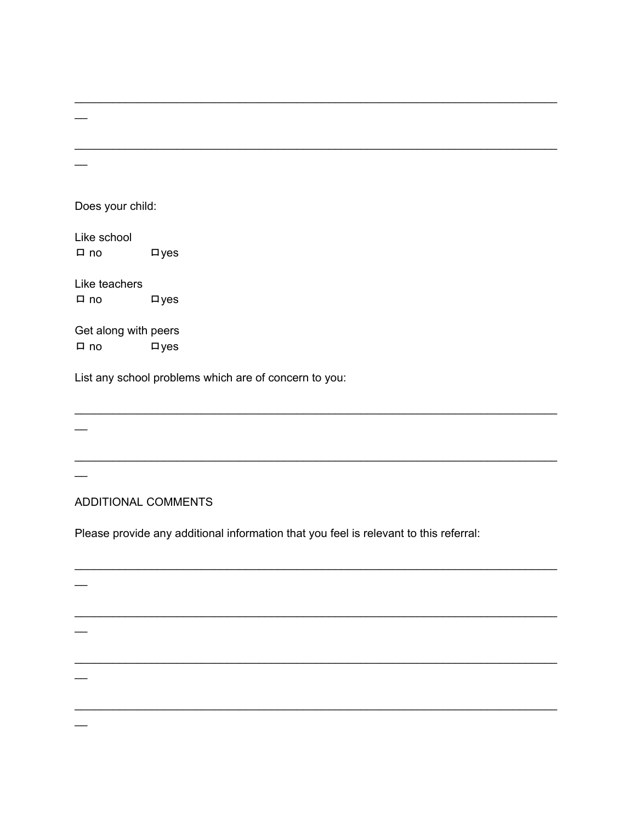Does your child:

 $\overline{\phantom{0}}$ 

Like school  $\n *Lyes*\n$  $\Box$  no

Like teachers  $\n *Lyes*\n$  $\Box$  no

Get along with peers  $\n *Lyes*\n$  $\Box$  no

List any school problems which are of concern to you:

#### ADDITIONAL COMMENTS

 $\overline{\phantom{a}}$ 

Please provide any additional information that you feel is relevant to this referral: